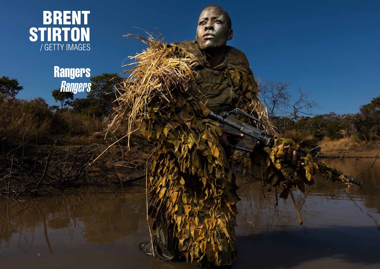

# Rangers Rangers

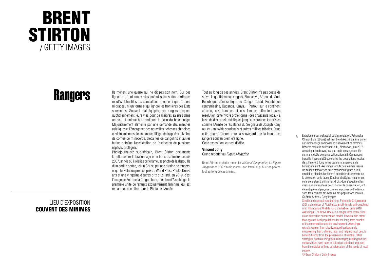## BRENT **STIRTON** / GETTY IMAGES

# **Rangers**

LIEU D'EXPOSITION COUVENT DES MINIMES Ils mènent une guerre qui ne dit pas son nom. Sur des lignes de front mouvantes enfouies dans des territoires reculés et hostiles, ils combattent un ennemi qui n'arbore ni drapeau ni uniforme et qui ignore les frontières des États souverains. Souvent mal équipés, ces rangers risquent quotidiennement leurs vies pour de maigres salaires dans un seul et unique but : endiquer le fléau du braconnage. Majoritairement alimenté par une demande des marchés asiatiques et l'émergence des nouvelles richesses chinoises et vietnamiennes, le commerce illégal de trophées d'ivoire, de cornes de rhinocéros, d'écailles de pangolins et autres butins entraîne l'accélération de l'extinction de plusieurs espèces protégées.

Photojournaliste sud-africain, Brent Stirton documente la lutte contre le braconnage et le trafic d'animaux depuis 2007, année où il réalise cette fameuse photo de la dépouille d'un gorille portée, tel un Christ, par une dizaine de rangers, et qui lui valut un premier prix au World Press Photo. Douze ans et une vingtaine d'autres prix plus tard, en 2019, c'est l'image de Petronella Chigumbura, membre d'Akashinga, la première unité de rangers exclusivement féminine, qui est remarquée et en lice pour la Photo de l'Année.

Tout au long de ces années, Brent Stirton n'a pas cessé de suivre le quotidien des rangers. Zimbabwe, Afrique du Sud, République démocratique du Congo, Tchad, République centrafricaine, Ouganda, Kenya… Partout sur le continent africain, ces hommes et ces femmes affrontent avec résolution cette hydre protéiforme: des chasseurs locaux à la solde des cartels asiatiques jusqu'aux groupes terroristes comme l'Armée de résistance du Seigneur de Joseph Kony ou les Janjawids soudanais et autres milices tribales. Dans cette guerre d'usure pour la sauvegarde de la faune, les rangers sont en première ligne. Cette exposition leur est dédiée.

#### **Vincent Jolly**

Grand reporter au *Figaro Magazine*

Brent Stirton souhaite remercier *National Geographic, Le Figaro Magazine* et *GEO* d'avoir soutenu son travail et publié ses photos tout au long de ces années.

Exercice de camouflage et de dissimulation. Petronella Chigumbura (30 ans) est membre d'Akashinga, une unité anti-braconnage composée exclusivement de femmes. Réserve naturelle de Phundundu, Zimbabwe, juin 2018. Akashinga (les braves) est une unité de rangers créée comme modèle de conservation alternatif. Ces rangers travaillent avec plutôt que contre les populations locales, dans l'intérêt à long terme des communautés et de l'environnement. Akashinga recrute des femmes issues de milieux défavorisés qui s'émancipent grâce à leur emploi, et aide les habitants à bénéficier directement de la protection de la faune. D'autres stratégies, notamment celle consistant à utiliser les droits dont s'acquittent les chasseurs de trophées pour financer la conservation, ont été critiquées et perçues comme imposées de l'extérieur sans tenir compte des besoins des populations locales. © Brent Stirton / Getty Images

Stealth and concealment training. Petronella Chigumbura (30) is a member of Akashinga, an all-female anti-poaching unit. Phundundu Wildlife Park, Zimbabwe, June 2018. Akashinga (The Brave Ones) is a ranger force established as an alternative conservation model. It works with rather than against local populations for the long-term benefits of the communities and the environment. Akashinga recruits women from disadvantaged backgrounds, empowering them, offering jobs, and helping local people benefit directly from the preservation of wildlife. Other strategies, such as using fees from trophy hunting to fund conservation, have been criticized as solutions imposed from the outside with no consideration of the needs of local people.

© Brent Stirton / Getty Images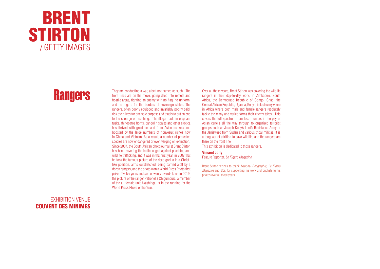

### **Rangers**

### EXHIBITION VENUE COUVENT DES MINIMES

They are conducting a war, albeit not named as such. The front lines are on the move, going deep into remote and hostile areas, fighting an enemy with no flag, no uniform, and no regard for the borders of sovereign states. The rangers, often poorly equipped and invariably poorly paid, risk their lives for one sole purpose and that is to put an end to the scourge of poaching. The illegal trade in elephant tusks, rhinoceros horns, pangolin scales and other exotica has thrived with great demand from Asian markets and boosted by the large numbers of nouveaux riches now in China and Vietnam. As a result, a number of protected species are now endangered or even verging on extinction. Since 2007, the South African photojournalist Brent Stirton has been covering the battle waged against poaching and wildlife trafficking, and it was in that first year, in 2007 that he took the famous picture of the dead gorilla in a Christlike position, arms outstretched, being carried aloft by a dozen rangers, and the photo won a World Press Photo first prize. Twelve years and some twenty awards later, in 2019, the picture of the ranger Petronella Chigumbura, a member of the all-female unit Akashinga, is in the running for the World Press Photo of the Year.

Over all those years, Brent Stirton was covering the wildlife rangers in their day-to-day work, in Zimbabwe, South Africa, the Democratic Republic of Congo, Chad, the Central African Republic, Uganda, Kenya, in fact everywhere in Africa where both male and female rangers resolutely tackle the many and varied forms their enemy takes. This covers the full spectrum from local hunters in the pay of Asian cartels all the way through to organized terrorist groups such as Joseph Kony's Lord's Resistance Army or the Janjaweed from Sudan and various tribal militias. It is a long war of attrition to save wildlife, and the rangers are there on the front line.

This exhibition is dedicated to those rangers.

#### **Vincent Jolly**

Feature Reporter, *Le Figaro Magazine*

Brent Stirton wishes to thank *National Geographic, Le Figaro Magazine* and *GEO* for supporting his work and publishing his photos over all these years.